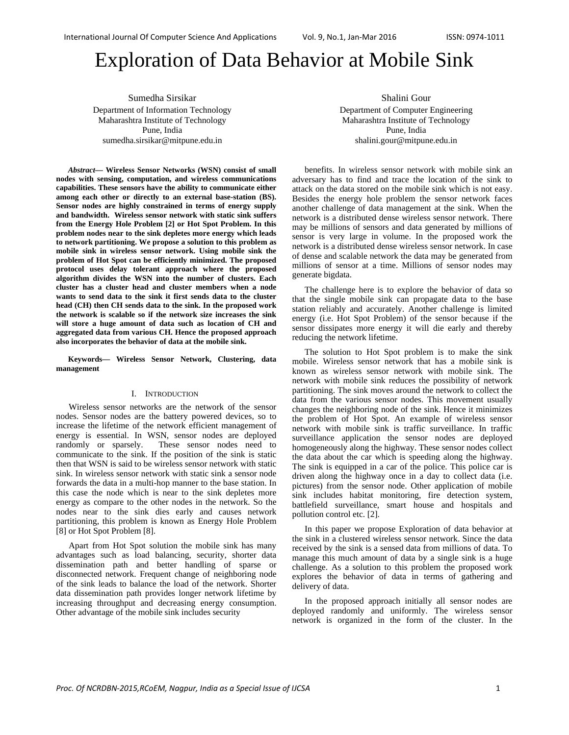# Exploration of Data Behavior at Mobile Sink

Sumedha Sirsikar Department of Information Technology Maharashtra Institute of Technology Pune, India sumedha.sirsikar@mitpune.edu.in

*Abstract***— Wireless Sensor Networks (WSN) consist of small nodes with sensing, computation, and wireless communications capabilities. These sensors have the ability to communicate either among each other or directly to an external base-station (BS). Sensor nodes are highly constrained in terms of energy supply and bandwidth. Wireless sensor network with static sink suffers from the Energy Hole Problem [2] or Hot Spot Problem. In this problem nodes near to the sink depletes more energy which leads to network partitioning. We propose a solution to this problem as mobile sink in wireless sensor network. Using mobile sink the problem of Hot Spot can be efficiently minimized. The proposed protocol uses delay tolerant approach where the proposed algorithm divides the WSN into the number of clusters. Each cluster has a cluster head and cluster members when a node wants to send data to the sink it first sends data to the cluster head (CH) then CH sends data to the sink. In the proposed work the network is scalable so if the network size increases the sink will store a huge amount of data such as location of CH and aggregated data from various CH. Hence the proposed approach also incorporates the behavior of data at the mobile sink.** 

**Keywords— Wireless Sensor Network, Clustering, data management** 

#### I. INTRODUCTION

Wireless sensor networks are the network of the sensor nodes. Sensor nodes are the battery powered devices, so to increase the lifetime of the network efficient management of energy is essential. In WSN, sensor nodes are deployed randomly or sparsely. These sensor nodes need to communicate to the sink. If the position of the sink is static then that WSN is said to be wireless sensor network with static sink. In wireless sensor network with static sink a sensor node forwards the data in a multi-hop manner to the base station. In this case the node which is near to the sink depletes more energy as compare to the other nodes in the network. So the nodes near to the sink dies early and causes network partitioning, this problem is known as Energy Hole Problem [8] or Hot Spot Problem [8].

Apart from Hot Spot solution the mobile sink has many advantages such as load balancing, security, shorter data dissemination path and better handling of sparse or disconnected network. Frequent change of neighboring node of the sink leads to balance the load of the network. Shorter data dissemination path provides longer network lifetime by increasing throughput and decreasing energy consumption. Other advantage of the mobile sink includes security

Shalini Gour Department of Computer Engineering Maharashtra Institute of Technology Pune, India shalini.gour@mitpune.edu.in

benefits. In wireless sensor network with mobile sink an adversary has to find and trace the location of the sink to attack on the data stored on the mobile sink which is not easy. Besides the energy hole problem the sensor network faces another challenge of data management at the sink. When the network is a distributed dense wireless sensor network. There may be millions of sensors and data generated by millions of sensor is very large in volume. In the proposed work the network is a distributed dense wireless sensor network. In case of dense and scalable network the data may be generated from millions of sensor at a time. Millions of sensor nodes may generate bigdata.

The challenge here is to explore the behavior of data so that the single mobile sink can propagate data to the base station reliably and accurately. Another challenge is limited energy (i.e. Hot Spot Problem) of the sensor because if the sensor dissipates more energy it will die early and thereby reducing the network lifetime.

The solution to Hot Spot problem is to make the sink mobile. Wireless sensor network that has a mobile sink is known as wireless sensor network with mobile sink. The network with mobile sink reduces the possibility of network partitioning. The sink moves around the network to collect the data from the various sensor nodes. This movement usually changes the neighboring node of the sink. Hence it minimizes the problem of Hot Spot. An example of wireless sensor network with mobile sink is traffic surveillance. In traffic surveillance application the sensor nodes are deployed homogeneously along the highway. These sensor nodes collect the data about the car which is speeding along the highway. The sink is equipped in a car of the police. This police car is driven along the highway once in a day to collect data (i.e. pictures) from the sensor node. Other application of mobile sink includes habitat monitoring, fire detection system, battlefield surveillance, smart house and hospitals and pollution control etc. [2].

In this paper we propose Exploration of data behavior at the sink in a clustered wireless sensor network. Since the data received by the sink is a sensed data from millions of data. To manage this much amount of data by a single sink is a huge challenge. As a solution to this problem the proposed work explores the behavior of data in terms of gathering and delivery of data.

In the proposed approach initially all sensor nodes are deployed randomly and uniformly. The wireless sensor network is organized in the form of the cluster. In the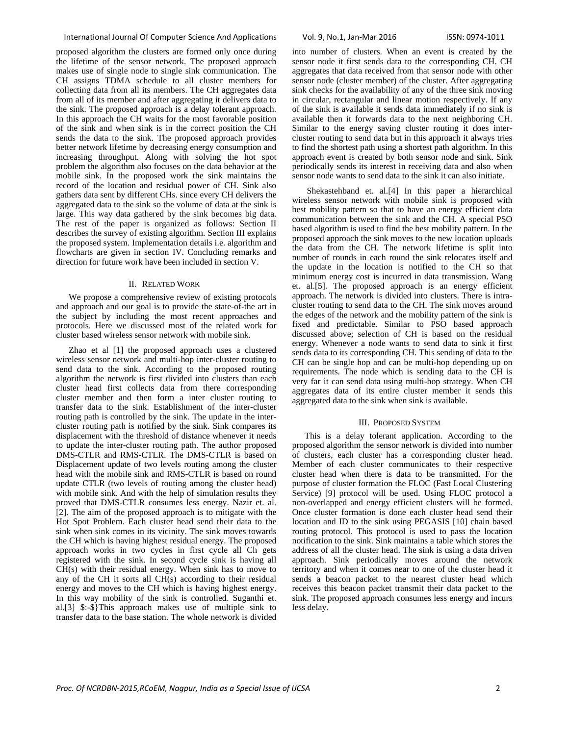### International Journal Of Computer Science And Applications Vol. 9, No.1, Jan‐Mar 2016 ISSN: 0974‐1011

proposed algorithm the clusters are formed only once during the lifetime of the sensor network. The proposed approach makes use of single node to single sink communication. The CH assigns TDMA schedule to all cluster members for collecting data from all its members. The CH aggregates data from all of its member and after aggregating it delivers data to the sink. The proposed approach is a delay tolerant approach. In this approach the CH waits for the most favorable position of the sink and when sink is in the correct position the CH sends the data to the sink. The proposed approach provides better network lifetime by decreasing energy consumption and increasing throughput. Along with solving the hot spot problem the algorithm also focuses on the data behavior at the mobile sink. In the proposed work the sink maintains the record of the location and residual power of CH. Sink also gathers data sent by different CHs. since every CH delivers the aggregated data to the sink so the volume of data at the sink is large. This way data gathered by the sink becomes big data. The rest of the paper is organized as follows: Section II describes the survey of existing algorithm. Section III explains the proposed system. Implementation details i.e. algorithm and flowcharts are given in section IV. Concluding remarks and direction for future work have been included in section V.

#### II. RELATED WORK

We propose a comprehensive review of existing protocols and approach and our goal is to provide the state-of-the art in the subject by including the most recent approaches and protocols. Here we discussed most of the related work for cluster based wireless sensor network with mobile sink.

Zhao et al [1] the proposed approach uses a clustered wireless sensor network and multi-hop inter-cluster routing to send data to the sink. According to the proposed routing algorithm the network is first divided into clusters than each cluster head first collects data from there corresponding cluster member and then form a inter cluster routing to transfer data to the sink. Establishment of the inter-cluster routing path is controlled by the sink. The update in the intercluster routing path is notified by the sink. Sink compares its displacement with the threshold of distance whenever it needs to update the inter-cluster routing path. The author proposed DMS-CTLR and RMS-CTLR. The DMS-CTLR is based on Displacement update of two levels routing among the cluster head with the mobile sink and RMS-CTLR is based on round update CTLR (two levels of routing among the cluster head) with mobile sink. And with the help of simulation results they proved that DMS-CTLR consumes less energy. Nazir et. al. [2]. The aim of the proposed approach is to mitigate with the Hot Spot Problem. Each cluster head send their data to the sink when sink comes in its vicinity. The sink moves towards the CH which is having highest residual energy. The proposed approach works in two cycles in first cycle all Ch gets registered with the sink. In second cycle sink is having all CH(s) with their residual energy. When sink has to move to any of the CH it sorts all CH(s) according to their residual energy and moves to the CH which is having highest energy. In this way mobility of the sink is controlled. Suganthi et. al.[3] \$:-\$}This approach makes use of multiple sink to transfer data to the base station. The whole network is divided

into number of clusters. When an event is created by the sensor node it first sends data to the corresponding CH. CH aggregates that data received from that sensor node with other sensor node (cluster member) of the cluster. After aggregating sink checks for the availability of any of the three sink moving in circular, rectangular and linear motion respectively. If any of the sink is available it sends data immediately if no sink is available then it forwards data to the next neighboring CH. Similar to the energy saving cluster routing it does intercluster routing to send data but in this approach it always tries to find the shortest path using a shortest path algorithm. In this approach event is created by both sensor node and sink. Sink periodically sends its interest in receiving data and also when sensor node wants to send data to the sink it can also initiate.

 Shekastehband et. al.[4] In this paper a hierarchical wireless sensor network with mobile sink is proposed with best mobility pattern so that to have an energy efficient data communication between the sink and the CH. A special PSO based algorithm is used to find the best mobility pattern. In the proposed approach the sink moves to the new location uploads the data from the CH. The network lifetime is split into number of rounds in each round the sink relocates itself and the update in the location is notified to the CH so that minimum energy cost is incurred in data transmission. Wang et. al.[5]. The proposed approach is an energy efficient approach. The network is divided into clusters. There is intracluster routing to send data to the CH. The sink moves around the edges of the network and the mobility pattern of the sink is fixed and predictable. Similar to PSO based approach discussed above; selection of CH is based on the residual energy. Whenever a node wants to send data to sink it first sends data to its corresponding CH. This sending of data to the CH can be single hop and can be multi-hop depending up on requirements. The node which is sending data to the CH is very far it can send data using multi-hop strategy. When CH aggregates data of its entire cluster member it sends this aggregated data to the sink when sink is available.

#### III. PROPOSED SYSTEM

This is a delay tolerant application. According to the proposed algorithm the sensor network is divided into number of clusters, each cluster has a corresponding cluster head. Member of each cluster communicates to their respective cluster head when there is data to be transmitted. For the purpose of cluster formation the FLOC (Fast Local Clustering Service) [9] protocol will be used. Using FLOC protocol a non-overlapped and energy efficient clusters will be formed. Once cluster formation is done each cluster head send their location and ID to the sink using PEGASIS [10] chain based routing protocol. This protocol is used to pass the location notification to the sink. Sink maintains a table which stores the address of all the cluster head. The sink is using a data driven approach. Sink periodically moves around the network territory and when it comes near to one of the cluster head it sends a beacon packet to the nearest cluster head which receives this beacon packet transmit their data packet to the sink. The proposed approach consumes less energy and incurs less delay.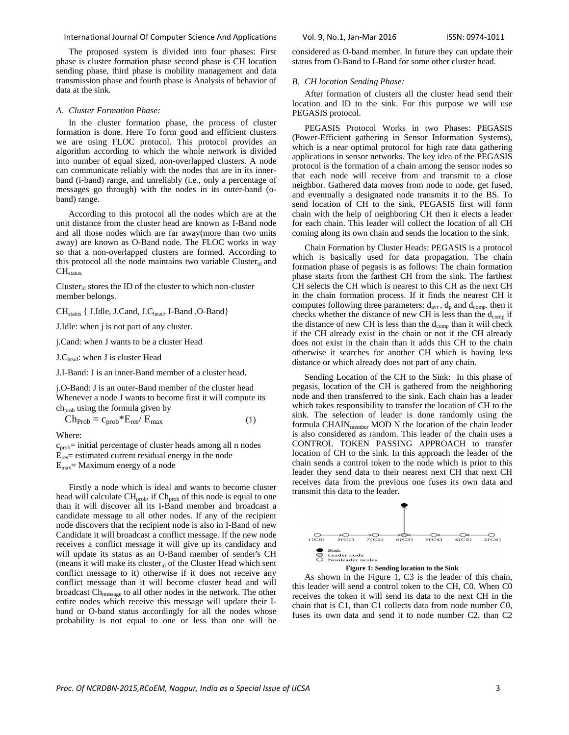#### International Journal Of Computer Science And Applications Vol. 9, No.1, Jan‐Mar 2016 ISSN: 0974‐1011

The proposed system is divided into four phases: First phase is cluster formation phase second phase is CH location sending phase, third phase is mobility management and data transmission phase and fourth phase is Analysis of behavior of data at the sink.

#### *A. Cluster Formation Phase:*

In the cluster formation phase, the process of cluster formation is done. Here To form good and efficient clusters we are using FLOC protocol. This protocol provides an algorithm according to which the whole network is divided into number of equal sized, non-overlapped clusters. A node can communicate reliably with the nodes that are in its innerband (i-band) range, and unreliably (i.e., only a percentage of messages go through) with the nodes in its outer-band (oband) range.

According to this protocol all the nodes which are at the unit distance from the cluster head are known as I-Band node and all those nodes which are far away(more than two units away) are known as O-Band node. The FLOC works in way so that a non-overlapped clusters are formed. According to this protocol all the node maintains two variable Cluster<sub>id</sub> and  $CH<sub>status</sub>$ 

Clusterid stores the ID of the cluster to which non-cluster member belongs.

CH<sub>status</sub> { J.Idle, J.Cand, J.C<sub>head</sub>, I-Band , O-Band }

J.Idle: when j is not part of any cluster.

j.Cand: when J wants to be a cluster Head

J.Chead: when J is cluster Head

J.I-Band: J is an inner-Band member of a cluster head.

j.O-Band: J is an outer-Band member of the cluster head Whenever a node J wants to become first it will compute its  $ch_{\text{prob}}$  using the formula given by

$$
Ch_{Prob} = c_{prob} * E_{res} / E_{max}
$$
 (1)

Where:

 $c_{\text{prob}}$ = initial percentage of cluster heads among all n nodes  $E_{res}$  estimated current residual energy in the node  $E_{\text{max}}$  = Maximum energy of a node

Firstly a node which is ideal and wants to become cluster head will calculate CH<sub>prob</sub>, if Ch<sub>prob</sub> of this node is equal to one than it will discover all its I-Band member and broadcast a candidate message to all other nodes. If any of the recipient node discovers that the recipient node is also in I-Band of new Candidate it will broadcast a conflict message. If the new node receives a conflict message it will give up its candidacy and will update its status as an O-Band member of sender's CH (means it will make its cluster $_{id}$  of the Cluster Head which sent conflict message to it) otherwise if it does not receive any conflict message than it will become cluster head and will broadcast Ch<sub>message</sub> to all other nodes in the network. The other entire nodes which receive this message will update their Iband or O-band status accordingly for all the nodes whose probability is not equal to one or less than one will be

considered as O-band member. In future they can update their status from O-Band to I-Band for some other cluster head.

#### *B. CH location Sending Phase:*

After formation of clusters all the cluster head send their location and ID to the sink. For this purpose we will use PEGASIS protocol.

PEGASIS Protocol Works in two Phases: PEGASIS (Power-Efficient gathering in Sensor Information Systems), which is a near optimal protocol for high rate data gathering applications in sensor networks. The key idea of the PEGASIS protocol is the formation of a chain among the sensor nodes so that each node will receive from and transmit to a close neighbor. Gathered data moves from node to node, get fused, and eventually a designated node transmits it to the BS. To send location of CH to the sink, PEGASIS first will form chain with the help of neighboring CH then it elects a leader for each chain. This leader will collect the location of all CH coming along its own chain and sends the location to the sink.

Chain Formation by Cluster Heads: PEGASIS is a protocol which is basically used for data propagation. The chain formation phase of pegasis is as follows: The chain formation phase starts from the farthest CH from the sink. The farthest CH selects the CH which is nearest to this CH as the next CH in the chain formation process. If it finds the nearest CH it computes following three parameters:  $d_{\text{avr}}$ ,  $d_p$  and  $d_{\text{comp}}$ . then it checks whether the distance of new CH is less than the  $d_{\text{comp}}$  if the distance of new CH is less than the  $d_{comp}$  than it will check if the CH already exist in the chain or not if the CH already does not exist in the chain than it adds this CH to the chain otherwise it searches for another CH which is having less distance or which already does not part of any chain.

Sending Location of the CH to the Sink: In this phase of pegasis, location of the CH is gathered from the neighboring node and then transferred to the sink. Each chain has a leader which takes responsibility to transfer the location of CH to the sink. The selection of leader is done randomly using the formula CHAIN<sub>member</sub> MOD N the location of the chain leader is also considered as random. This leader of the chain uses a CONTROL TOKEN PASSING APPROACH to transfer location of CH to the sink. In this approach the leader of the chain sends a control token to the node which is prior to this leader they send data to their nearest next CH that next CH receives data from the previous one fuses its own data and transmit this data to the leader.



**Figure 1: Sending location to the Sink** 

As shown in the Figure 1, C3 is the leader of this chain, this leader will send a control token to the CH, C0. When C0 receives the token it will send its data to the next CH in the chain that is C1, than C1 collects data from node number C0, fuses its own data and send it to node number C2, than C2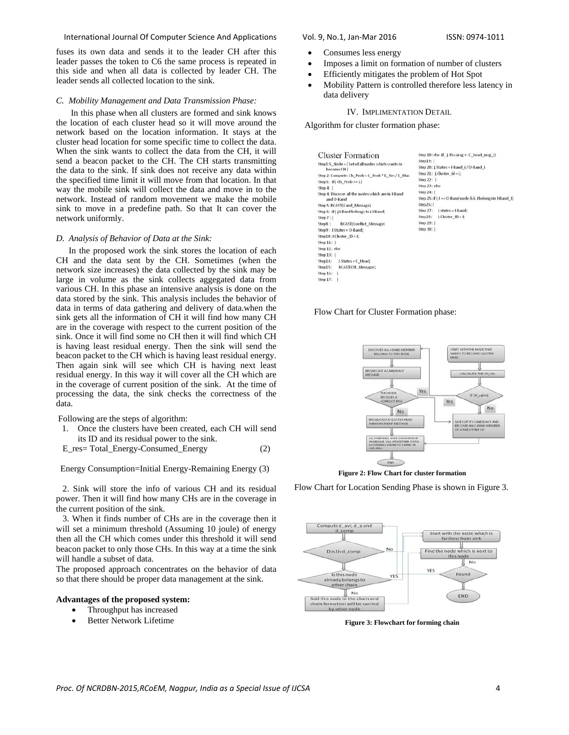#### International Journal Of Computer Science And Applications Vol. 9, No.1, Jan-Mar 2016 ISSN: 0974-1011

fuses its own data and sends it to the leader CH after this leader passes the token to C6 the same process is repeated in this side and when all data is collected by leader CH. The leader sends all collected location to the sink.

### *C. Mobility Management and Data Transmission Phase:*

 In this phase when all clusters are formed and sink knows the location of each cluster head so it will move around the network based on the location information. It stays at the cluster head location for some specific time to collect the data. When the sink wants to collect the data from the CH, it will send a beacon packet to the CH. The CH starts transmitting the data to the sink. If sink does not receive any data within the specified time limit it will move from that location. In that way the mobile sink will collect the data and move in to the network. Instead of random movement we make the mobile sink to move in a predefine path. So that It can cover the network uniformly.

#### *D. Analysis of Behavior of Data at the Sink:*

In the proposed work the sink stores the location of each CH and the data sent by the CH. Sometimes (when the network size increases) the data collected by the sink may be large in volume as the sink collects aggegated data from various CH. In this phase an intensive analysis is done on the data stored by the sink. This analysis includes the behavior of data in terms of data gathering and delivery of data.when the sink gets all the information of CH it will find how many CH are in the coverage with respect to the current position of the sink. Once it will find some no CH then it will find which CH is having least residual energy. Then the sink will send the beacon packet to the CH which is having least residual energy. Then again sink will see which CH is having next least residual energy. In this way it will cover all the CH which are in the coverage of current position of the sink. At the time of processing the data, the sink checks the correctness of the data.

Following are the steps of algorithm:

- 1. Once the clusters have been created, each CH will send its ID and its residual power to the sink.
- E\_res= Total\_Energy-Consumed\_Energy (2)

Energy Consumption=Initial Energy-Remaining Energy (3)

 2. Sink will store the info of various CH and its residual power. Then it will find how many CHs are in the coverage in the current position of the sink.

 3. When it finds number of CHs are in the coverage then it will set a minimum threshold (Assuming 10 joule) of energy then all the CH which comes under this threshold it will send beacon packet to only those CHs. In this way at a time the sink will handle a subset of data.

The proposed approach concentrates on the behavior of data so that there should be proper data management at the sink.

#### **Advantages of the proposed system:**

- Throughput has increased
- Better Network Lifetime

- Consumes less energy
- Imposes a limit on formation of number of clusters
- Efficiently mitigates the problem of Hot Spot
- Mobility Pattern is controlled therefore less latency in data delivery

### IV. IMPLIMENTATION DETAIL

Algorithm for cluster formation phase:

| <b>Cluster Formation</b>                                                                                                                                                                                              | Step 18: else if( i. Rcv.msg <- C head msg i)         |
|-----------------------------------------------------------------------------------------------------------------------------------------------------------------------------------------------------------------------|-------------------------------------------------------|
| Step1:S Node = { Set of all nodes which wants to<br>become CH }<br>Step 2: Compute: Ch_Prob = C_Prob * E_Res / E_Max<br>Step3: If (Ch. Prob == 1)<br>Step $4:1$<br>Step 4: Discover all the nodes which are in I-Band | Step 19:                                              |
|                                                                                                                                                                                                                       | Step 20: j.Status = I-Band i/O-Band i                 |
|                                                                                                                                                                                                                       | Step 21: $i$ . Cluster $id = i$ ;                     |
|                                                                                                                                                                                                                       | Step 22: 1                                            |
|                                                                                                                                                                                                                       | Step 23: else                                         |
|                                                                                                                                                                                                                       | Step 24: {                                            |
| and O-Band                                                                                                                                                                                                            | Step 25: if (J == O-Band node && J belongsto I-Band ) |
| Step 5: BCAST(Cand_Message)                                                                                                                                                                                           | Step26:                                               |
| Step 6: if (j.I.Band belongs to i.I-Band)                                                                                                                                                                             | J.status = I-band;<br>Step 27:                        |
| Step 7:                                                                                                                                                                                                               | Step28:<br>$1.$ Cluster $1D = 1$ ;                    |
| <b>BCAST(Conflict Message)</b><br>Step 8:                                                                                                                                                                             | Step 29: 1                                            |
| Step9: J.Status = O-Band:                                                                                                                                                                                             | Step 30: 1                                            |
| Step10: J.Cluster_ID = I;                                                                                                                                                                                             |                                                       |
| Step 11: 1                                                                                                                                                                                                            |                                                       |
| Step 12: else                                                                                                                                                                                                         |                                                       |
| Step 13: {                                                                                                                                                                                                            |                                                       |
| $J.$ Status = $C$ Head;<br>$Step 14$ :                                                                                                                                                                                |                                                       |
| <b>BCAST(CH Message);</b><br>Step15:                                                                                                                                                                                  |                                                       |
| Step 16:                                                                                                                                                                                                              |                                                       |
| Step 17:                                                                                                                                                                                                              |                                                       |





**Figure 2: Flow Chart for cluster formation** 

Flow Chart for Location Sending Phase is shown in Figure 3.



**Figure 3: Flowchart for forming chain**